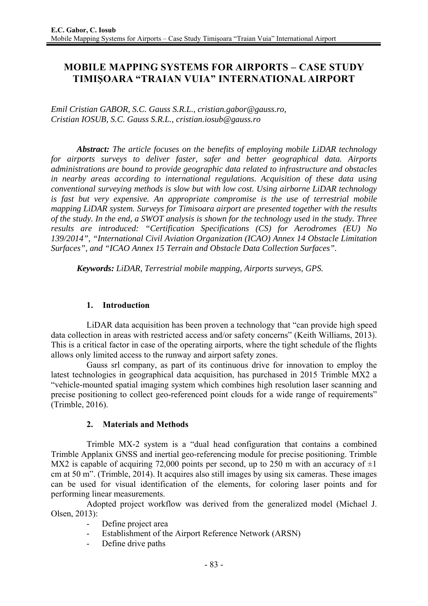# **MOBILE MAPPING SYSTEMS FOR AIRPORTS – CASE STUDY TIMIŞOARA "TRAIAN VUIA" INTERNATIONAL AIRPORT**

*Emil Cristian GABOR, S.C. Gauss S.R.L., cristian.gabor@gauss.ro, Cristian IOSUB, S.C. Gauss S.R.L., cristian.iosub@gauss.ro* 

*Abstract: The article focuses on the benefits of employing mobile LiDAR technology for airports surveys to deliver faster, safer and better geographical data. Airports administrations are bound to provide geographic data related to infrastructure and obstacles in nearby areas according to international regulations. Acquisition of these data using conventional surveying methods is slow but with low cost. Using airborne LiDAR technology is fast but very expensive. An appropriate compromise is the use of terrestrial mobile mapping LiDAR system. Surveys for Timisoara airport are presented together with the results of the study. In the end, a SWOT analysis is shown for the technology used in the study. Three results are introduced: "Certification Specifications (CS) for Aerodromes (EU) No 139/2014", "International Civil Aviation Organization (ICAO) Annex 14 Obstacle Limitation Surfaces", and "ICAO Annex 15 Terrain and Obstacle Data Collection Surfaces".* 

*Keywords: LiDAR, Terrestrial mobile mapping, Airports surveys, GPS.* 

### **1. Introduction**

LiDAR data acquisition has been proven a technology that "can provide high speed data collection in areas with restricted access and/or safety concerns" (Keith Williams, 2013). This is a critical factor in case of the operating airports, where the tight schedule of the flights allows only limited access to the runway and airport safety zones.

Gauss srl company, as part of its continuous drive for innovation to employ the latest technologies in geographical data acquisition, has purchased in 2015 Trimble MX2 a "vehicle-mounted spatial imaging system which combines high resolution laser scanning and precise positioning to collect geo-referenced point clouds for a wide range of requirements" (Trimble, 2016).

# **2. Materials and Methods**

Trimble MX-2 system is a "dual head configuration that contains a combined Trimble Applanix GNSS and inertial geo-referencing module for precise positioning. Trimble MX2 is capable of acquiring 72,000 points per second, up to 250 m with an accuracy of  $\pm 1$ cm at 50 m". (Trimble, 2014). It acquires also still images by using six cameras. These images can be used for visual identification of the elements, for coloring laser points and for performing linear measurements.

Adopted project workflow was derived from the generalized model (Michael J. Olsen, 2013):

- Define project area
- Establishment of the Airport Reference Network (ARSN)
- Define drive paths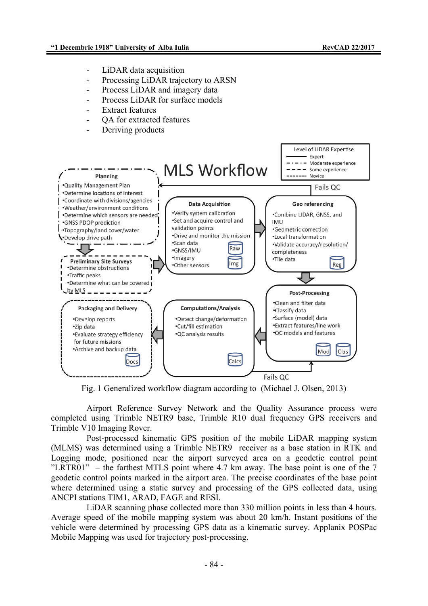- LiDAR data acquisition
- Processing LiDAR trajectory to ARSN
- Process LiDAR and imagery data
- Process LiDAR for surface models
- Extract features
- OA for extracted features
- Deriving products



Fig. 1 Generalized workflow diagram according to (Michael J. Olsen, 2013)

Airport Reference Survey Network and the Quality Assurance process were completed using Trimble NETR9 base, Trimble R10 dual frequency GPS receivers and Trimble V10 Imaging Rover.

Post-processed kinematic GPS position of the mobile LiDAR mapping system (MLMS) was determined using a Trimble NETR9 receiver as a base station in RTK and Logging mode, positioned near the airport surveyed area on a geodetic control point "LRTR01" – the farthest MTLS point where  $4.7$  km away. The base point is one of the 7 geodetic control points marked in the airport area. The precise coordinates of the base point where determined using a static survey and processing of the GPS collected data, using ANCPI stations TIM1, ARAD, FAGE and RESI.

LiDAR scanning phase collected more than 330 million points in less than 4 hours. Average speed of the mobile mapping system was about 20 km/h. Instant positions of the vehicle were determined by processing GPS data as a kinematic survey. Applanix POSPac Mobile Mapping was used for trajectory post-processing.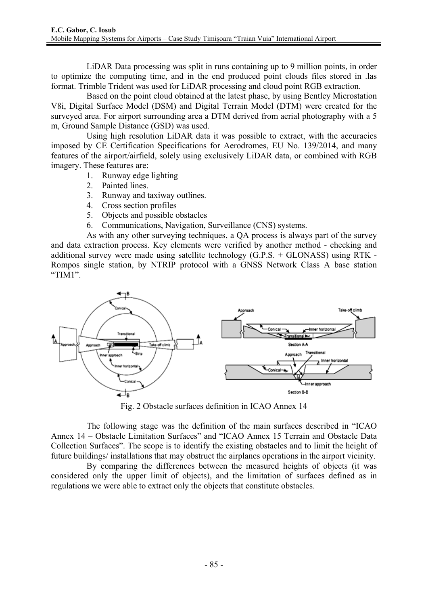LiDAR Data processing was split in runs containing up to 9 million points, in order to optimize the computing time, and in the end produced point clouds files stored in .las format. Trimble Trident was used for LiDAR processing and cloud point RGB extraction.

Based on the point cloud obtained at the latest phase, by using Bentley Microstation V8i, Digital Surface Model (DSM) and Digital Terrain Model (DTM) were created for the surveyed area. For airport surrounding area a DTM derived from aerial photography with a 5 m, Ground Sample Distance (GSD) was used.

Using high resolution LiDAR data it was possible to extract, with the accuracies imposed by CE Certification Specifications for Aerodromes, EU No. 139/2014, and many features of the airport/airfield, solely using exclusively LiDAR data, or combined with RGB imagery. These features are:

- 1. Runway edge lighting
- 2. Painted lines.
- 3. Runway and taxiway outlines.
- 4. Cross section profiles
- 5. Objects and possible obstacles
- 6. Communications, Navigation, Surveillance (CNS) systems.

As with any other surveying techniques, a QA process is always part of the survey and data extraction process. Key elements were verified by another method - checking and additional survey were made using satellite technology (G.P.S. + GLONASS) using RTK - Rompos single station, by NTRIP protocol with a GNSS Network Class A base station "TIM1".



Fig. 2 Obstacle surfaces definition in ICAO Annex 14

The following stage was the definition of the main surfaces described in "ICAO Annex 14 – Obstacle Limitation Surfaces" and "ICAO Annex 15 Terrain and Obstacle Data Collection Surfaces". The scope is to identify the existing obstacles and to limit the height of future buildings/ installations that may obstruct the airplanes operations in the airport vicinity.

By comparing the differences between the measured heights of objects (it was considered only the upper limit of objects), and the limitation of surfaces defined as in regulations we were able to extract only the objects that constitute obstacles.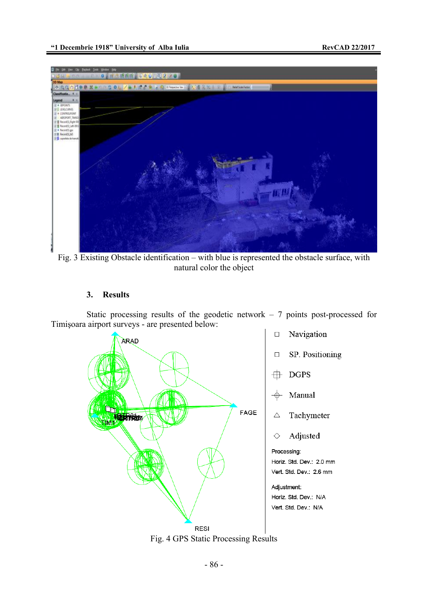

Fig. 3 Existing Obstacle identification – with blue is represented the obstacle surface, with natural color the object

#### **3. Results**

Static processing results of the geodetic network  $-7$  points post-processed for Timişoara airport surveys - are presented below:



Fig. 4 GPS Static Processing Results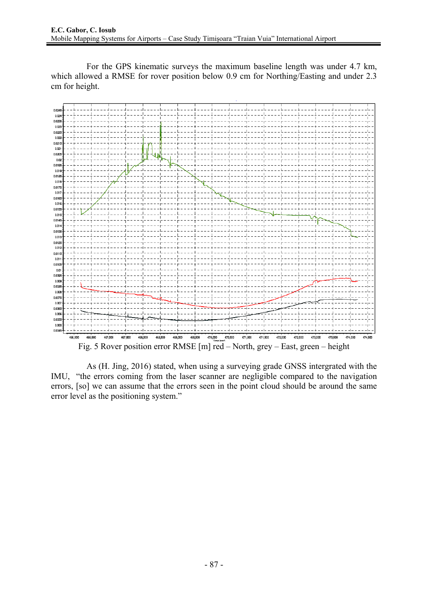For the GPS kinematic surveys the maximum baseline length was under 4.7 km, which allowed a RMSE for rover position below 0.9 cm for Northing/Easting and under 2.3 cm for height.



As (H. Jing, 2016) stated, when using a surveying grade GNSS intergrated with the IMU, "the errors coming from the laser scanner are negligible compared to the navigation errors, [so] we can assume that the errors seen in the point cloud should be around the same error level as the positioning system."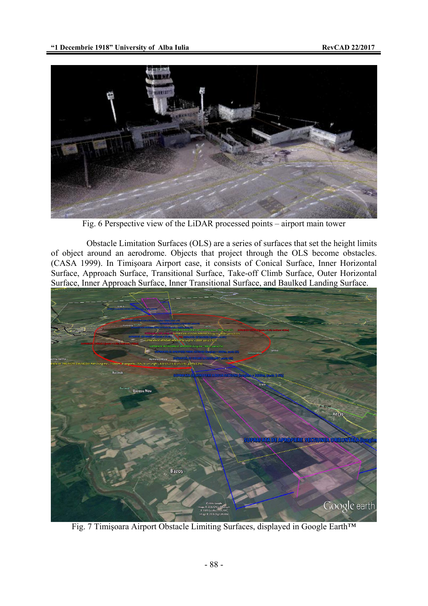

Fig. 6 Perspective view of the LiDAR processed points – airport main tower

Obstacle Limitation Surfaces (OLS) are a series of surfaces that set the height limits of object around an aerodrome. Objects that project through the OLS become obstacles. (CASA 1999). In Timişoara Airport case, it consists of Conical Surface, Inner Horizontal Surface, Approach Surface, Transitional Surface, Take-off Climb Surface, Outer Horizontal Surface, Inner Approach Surface, Inner Transitional Surface, and Baulked Landing Surface.



Fig. 7 Timişoara Airport Obstacle Limiting Surfaces, displayed in Google Earth™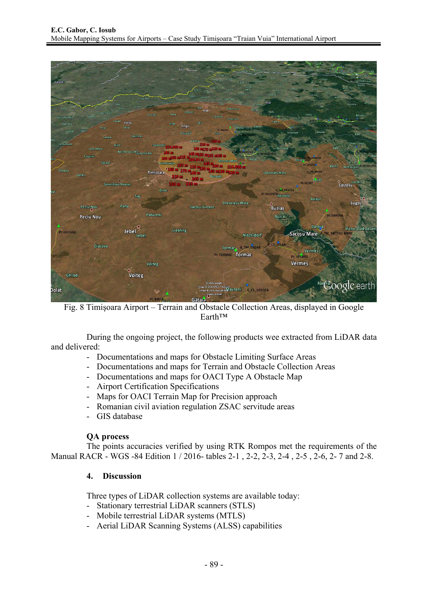

Fig. 8 Timişoara Airport – Terrain and Obstacle Collection Areas, displayed in Google Earth™

During the ongoing project, the following products wee extracted from LiDAR data and delivered:

- Documentations and maps for Obstacle Limiting Surface Areas
- Documentations and maps for Terrain and Obstacle Collection Areas
- Documentations and maps for OACI Type A Obstacle Map
- Airport Certification Specifications
- Maps for OACI Terrain Map for Precision approach
- Romanian civil aviation regulation ZSAC servitude areas
- GIS database

#### **QA process**

The points accuracies verified by using RTK Rompos met the requirements of the Manual RACR - WGS -84 Edition 1 / 2016- tables 2-1 , 2-2, 2-3, 2-4 , 2-5 , 2-6, 2- 7 and 2-8.

#### **4. Discussion**

Three types of LiDAR collection systems are available today:

- Stationary terrestrial LiDAR scanners (STLS)
- Mobile terrestrial LiDAR systems (MTLS)
- Aerial LiDAR Scanning Systems (ALSS) capabilities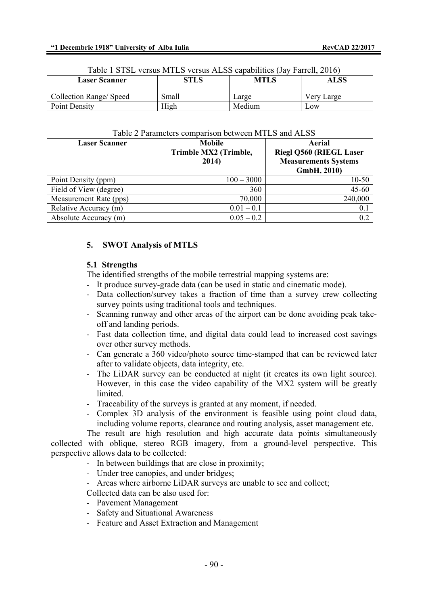| <b>Laser Scanner</b>    | Table T STSL Versus MTLS Versus ALSS capabilities (Jay Faffell, 2010)<br><b>MTLS</b><br><b>STLS</b><br>ALSS |        |            |
|-------------------------|-------------------------------------------------------------------------------------------------------------|--------|------------|
| Collection Range/ Speed | Small                                                                                                       | Large  | Very Large |
| Point Density           | High                                                                                                        | Medium | Low        |

#### Table 1 STSL versus MTLS versus ALSS capabilities (Jay Farrell, 2016)

#### Table 2 Parameters comparison between MTLS and ALSS

| <b>Laser Scanner</b>   | <b>Mobile</b><br>Trimble MX2 (Trimble,<br>2014) | Aerial<br><b>Riegl Q560 (RIEGL Laser</b><br><b>Measurements Systems</b><br>GmbH, 2010) |
|------------------------|-------------------------------------------------|----------------------------------------------------------------------------------------|
| Point Density (ppm)    | $100 - 3000$                                    | $10 - 50$                                                                              |
| Field of View (degree) | 360                                             | 45-60                                                                                  |
| Measurement Rate (pps) | 70,000                                          | 240,000                                                                                |
| Relative Accuracy (m)  | $0.01 - 0.1$                                    | 0.1                                                                                    |
| Absolute Accuracy (m)  | $0.05 - 0.2$                                    | 0.2                                                                                    |

# **5. SWOT Analysis of MTLS**

#### **5.1 Strengths**

The identified strengths of the mobile terrestrial mapping systems are:

- It produce survey-grade data (can be used in static and cinematic mode).
- Data collection/survey takes a fraction of time than a survey crew collecting survey points using traditional tools and techniques.
- Scanning runway and other areas of the airport can be done avoiding peak takeoff and landing periods.
- Fast data collection time, and digital data could lead to increased cost savings over other survey methods.
- Can generate a 360 video/photo source time-stamped that can be reviewed later after to validate objects, data integrity, etc.
- The LiDAR survey can be conducted at night (it creates its own light source). However, in this case the video capability of the MX2 system will be greatly **limited**
- Traceability of the surveys is granted at any moment, if needed.
- Complex 3D analysis of the environment is feasible using point cloud data, including volume reports, clearance and routing analysis, asset management etc.

The result are high resolution and high accurate data points simultaneously collected with oblique, stereo RGB imagery, from a ground-level perspective. This perspective allows data to be collected:

- In between buildings that are close in proximity;
- Under tree canopies, and under bridges;
- Areas where airborne LiDAR surveys are unable to see and collect;

Collected data can be also used for:

- Pavement Management
- Safety and Situational Awareness
- Feature and Asset Extraction and Management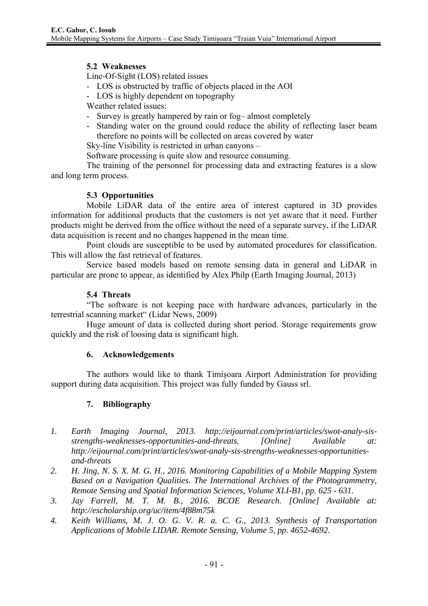# **5.2 Weaknesses**

Line-Of-Sight (LOS) related issues

- LOS is obstructed by traffic of objects placed in the AOI
- LOS is highly dependent on topography

Weather related issues:

- Survey is greatly hampered by rain or fog– almost completely
- Standing water on the ground could reduce the ability of reflecting laser beam therefore no points will be collected on areas covered by water

Sky-line Visibility is restricted in urban canyons –

Software processing is quite slow and resource consuming.

The training of the personnel for processing data and extracting features is a slow and long term process.

# **5.3 Opportunities**

Mobile LiDAR data of the entire area of interest captured in 3D provides information for additional products that the customers is not yet aware that it need. Further products might be derived from the office without the need of a separate survey, if the LiDAR data acquisition is recent and no changes happened in the mean time.

Point clouds are susceptible to be used by automated procedures for classification. This will allow the fast retrieval of features.

Service based models based on remote sensing data in general and LiDAR in particular are prone to appear, as identified by Alex Philp (Earth Imaging Journal, 2013)

# **5.4 Threats**

"The software is not keeping pace with hardware advances, particularly in the terrestrial scanning market" (Lidar News, 2009)

Huge amount of data is collected during short period. Storage requirements grow quickly and the risk of loosing data is significant high.

#### **6. Acknowledgements**

The authors would like to thank Timişoara Airport Administration for providing support during data acquisition. This project was fully funded by Gauss srl.

# **7. Bibliography**

- *1. Earth Imaging Journal, 2013. http://eijournal.com/print/articles/swot-analy-sisstrengths-weaknesses-opportunities-and-threats. [Online] Available at: http://eijournal.com/print/articles/swot-analy-sis-strengths-weaknesses-opportunitiesand-threats*
- *2. H. Jing, N. S. X. M. G. H., 2016. Monitoring Capabilities of a Mobile Mapping System Based on a Navigation Qualities. The International Archives of the Photogrammetry, Remote Sensing and Spatial Information Sciences, Volume XLI-B1, pp. 625 - 631.*
- *3. Jay Farrell, M. T. M. B., 2016. BCOE Research. [Online] Available at: http://escholarship.org/uc/item/4f88m75k*
- *4. Keith Williams, M. J. O. G. V. R. a. C. G., 2013. Synthesis of Transportation Applications of Mobile LIDAR. Remote Sensing, Volume 5, pp. 4652-4692.*